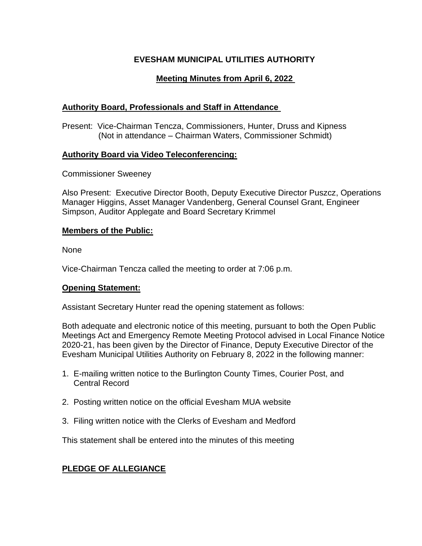# **EVESHAM MUNICIPAL UTILITIES AUTHORITY**

# **Meeting Minutes from April 6, 2022**

# **Authority Board, Professionals and Staff in Attendance**

Present: Vice-Chairman Tencza, Commissioners, Hunter, Druss and Kipness (Not in attendance – Chairman Waters, Commissioner Schmidt)

# **Authority Board via Video Teleconferencing:**

Commissioner Sweeney

Also Present: Executive Director Booth, Deputy Executive Director Puszcz, Operations Manager Higgins, Asset Manager Vandenberg, General Counsel Grant, Engineer Simpson, Auditor Applegate and Board Secretary Krimmel

# **Members of the Public:**

None

Vice-Chairman Tencza called the meeting to order at 7:06 p.m.

### **Opening Statement:**

Assistant Secretary Hunter read the opening statement as follows:

Both adequate and electronic notice of this meeting, pursuant to both the Open Public Meetings Act and Emergency Remote Meeting Protocol advised in Local Finance Notice 2020-21, has been given by the Director of Finance, Deputy Executive Director of the Evesham Municipal Utilities Authority on February 8, 2022 in the following manner:

- 1. E-mailing written notice to the Burlington County Times, Courier Post, and Central Record
- 2. Posting written notice on the official Evesham MUA website
- 3. Filing written notice with the Clerks of Evesham and Medford

This statement shall be entered into the minutes of this meeting

# **PLEDGE OF ALLEGIANCE**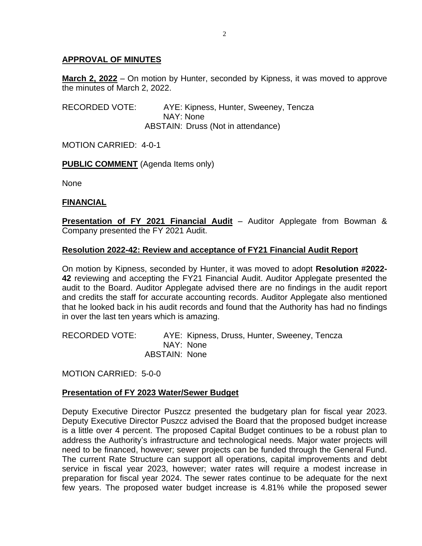# **APPROVAL OF MINUTES**

**March 2, 2022** – On motion by Hunter, seconded by Kipness, it was moved to approve the minutes of March 2, 2022.

RECORDED VOTE: AYE: Kipness, Hunter, Sweeney, Tencza NAY: None ABSTAIN: Druss (Not in attendance)

MOTION CARRIED: 4-0-1

### **PUBLIC COMMENT** (Agenda Items only)

None

### **FINANCIAL**

**Presentation of FY 2021 Financial Audit** – Auditor Applegate from Bowman & Company presented the FY 2021 Audit.

### **Resolution 2022-42: Review and acceptance of FY21 Financial Audit Report**

On motion by Kipness, seconded by Hunter, it was moved to adopt **Resolution #2022- 42** reviewing and accepting the FY21 Financial Audit. Auditor Applegate presented the audit to the Board. Auditor Applegate advised there are no findings in the audit report and credits the staff for accurate accounting records. Auditor Applegate also mentioned that he looked back in his audit records and found that the Authority has had no findings in over the last ten years which is amazing.

RECORDED VOTE: AYE: Kipness, Druss, Hunter, Sweeney, Tencza NAY: None ABSTAIN: None

MOTION CARRIED: 5-0-0

### **Presentation of FY 2023 Water/Sewer Budget**

Deputy Executive Director Puszcz presented the budgetary plan for fiscal year 2023. Deputy Executive Director Puszcz advised the Board that the proposed budget increase is a little over 4 percent. The proposed Capital Budget continues to be a robust plan to address the Authority's infrastructure and technological needs. Major water projects will need to be financed, however; sewer projects can be funded through the General Fund. The current Rate Structure can support all operations, capital improvements and debt service in fiscal year 2023, however; water rates will require a modest increase in preparation for fiscal year 2024. The sewer rates continue to be adequate for the next few years. The proposed water budget increase is 4.81% while the proposed sewer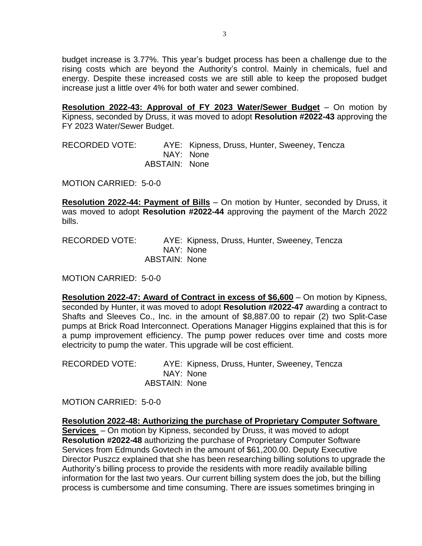budget increase is 3.77%. This year's budget process has been a challenge due to the rising costs which are beyond the Authority's control. Mainly in chemicals, fuel and energy. Despite these increased costs we are still able to keep the proposed budget increase just a little over 4% for both water and sewer combined.

**Resolution 2022-43: Approval of FY 2023 Water/Sewer Budget** – On motion by Kipness, seconded by Druss, it was moved to adopt **Resolution #2022-43** approving the FY 2023 Water/Sewer Budget.

RECORDED VOTE: AYE: Kipness, Druss, Hunter, Sweeney, Tencza NAY: None ABSTAIN: None

MOTION CARRIED: 5-0-0

**Resolution 2022-44: Payment of Bills** – On motion by Hunter, seconded by Druss, it was moved to adopt **Resolution #2022-44** approving the payment of the March 2022 bills.

RECORDED VOTE: AYE: Kipness, Druss, Hunter, Sweeney, Tencza NAY: None ABSTAIN: None

MOTION CARRIED: 5-0-0

**Resolution 2022-47: Award of Contract in excess of \$6,600** – On motion by Kipness, seconded by Hunter, it was moved to adopt **Resolution #2022-47** awarding a contract to Shafts and Sleeves Co., Inc. in the amount of \$8,887.00 to repair (2) two Split-Case pumps at Brick Road Interconnect. Operations Manager Higgins explained that this is for a pump improvement efficiency. The pump power reduces over time and costs more electricity to pump the water. This upgrade will be cost efficient.

RECORDED VOTE: AYE: Kipness, Druss, Hunter, Sweeney, Tencza NAY: None ABSTAIN: None

MOTION CARRIED: 5-0-0

**Resolution 2022-48: Authorizing the purchase of Proprietary Computer Software Services** – On motion by Kipness, seconded by Druss, it was moved to adopt **Resolution #2022-48** authorizing the purchase of Proprietary Computer Software Services from Edmunds Govtech in the amount of \$61,200.00. Deputy Executive Director Puszcz explained that she has been researching billing solutions to upgrade the Authority's billing process to provide the residents with more readily available billing information for the last two years. Our current billing system does the job, but the billing process is cumbersome and time consuming. There are issues sometimes bringing in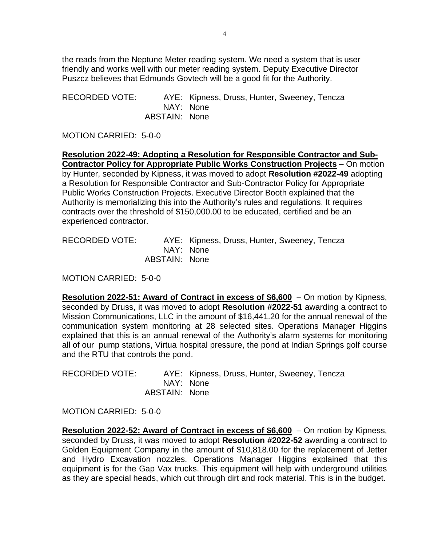the reads from the Neptune Meter reading system. We need a system that is user friendly and works well with our meter reading system. Deputy Executive Director Puszcz believes that Edmunds Govtech will be a good fit for the Authority.

RECORDED VOTE: AYE: Kipness, Druss, Hunter, Sweeney, Tencza NAY: None ABSTAIN: None

MOTION CARRIED: 5-0-0

**Resolution 2022-49: Adopting a Resolution for Responsible Contractor and Sub-Contractor Policy for Appropriate Public Works Construction Projects** – On motion by Hunter, seconded by Kipness, it was moved to adopt **Resolution #2022-49** adopting a Resolution for Responsible Contractor and Sub-Contractor Policy for Appropriate Public Works Construction Projects. Executive Director Booth explained that the Authority is memorializing this into the Authority's rules and regulations. It requires contracts over the threshold of \$150,000.00 to be educated, certified and be an experienced contractor.

| <b>RECORDED VOTE:</b> |               | AYE: Kipness, Druss, Hunter, Sweeney, Tencza |
|-----------------------|---------------|----------------------------------------------|
|                       |               | NAY: None                                    |
|                       | ABSTAIN: None |                                              |

MOTION CARRIED: 5-0-0

**Resolution 2022-51: Award of Contract in excess of \$6,600** – On motion by Kipness, seconded by Druss, it was moved to adopt **Resolution #2022-51** awarding a contract to Mission Communications, LLC in the amount of \$16,441.20 for the annual renewal of the communication system monitoring at 28 selected sites. Operations Manager Higgins explained that this is an annual renewal of the Authority's alarm systems for monitoring all of our pump stations, Virtua hospital pressure, the pond at Indian Springs golf course and the RTU that controls the pond.

| RECORDED VOTE: |               | AYE: Kipness, Druss, Hunter, Sweeney, Tencza |
|----------------|---------------|----------------------------------------------|
|                |               | NAY: None                                    |
|                | ABSTAIN: None |                                              |

MOTION CARRIED: 5-0-0

**Resolution 2022-52: Award of Contract in excess of \$6,600** – On motion by Kipness, seconded by Druss, it was moved to adopt **Resolution #2022-52** awarding a contract to Golden Equipment Company in the amount of \$10,818.00 for the replacement of Jetter and Hydro Excavation nozzles. Operations Manager Higgins explained that this equipment is for the Gap Vax trucks. This equipment will help with underground utilities as they are special heads, which cut through dirt and rock material. This is in the budget.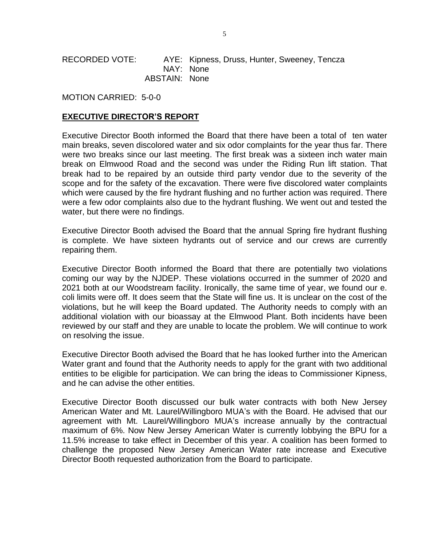RECORDED VOTE: AYE: Kipness, Druss, Hunter, Sweeney, Tencza NAY: None ABSTAIN: None

MOTION CARRIED: 5-0-0

#### **EXECUTIVE DIRECTOR'S REPORT**

Executive Director Booth informed the Board that there have been a total of ten water main breaks, seven discolored water and six odor complaints for the year thus far. There were two breaks since our last meeting. The first break was a sixteen inch water main break on Elmwood Road and the second was under the Riding Run lift station. That break had to be repaired by an outside third party vendor due to the severity of the scope and for the safety of the excavation. There were five discolored water complaints which were caused by the fire hydrant flushing and no further action was required. There were a few odor complaints also due to the hydrant flushing. We went out and tested the water, but there were no findings.

Executive Director Booth advised the Board that the annual Spring fire hydrant flushing is complete. We have sixteen hydrants out of service and our crews are currently repairing them.

Executive Director Booth informed the Board that there are potentially two violations coming our way by the NJDEP. These violations occurred in the summer of 2020 and 2021 both at our Woodstream facility. Ironically, the same time of year, we found our e. coli limits were off. It does seem that the State will fine us. It is unclear on the cost of the violations, but he will keep the Board updated. The Authority needs to comply with an additional violation with our bioassay at the Elmwood Plant. Both incidents have been reviewed by our staff and they are unable to locate the problem. We will continue to work on resolving the issue.

Executive Director Booth advised the Board that he has looked further into the American Water grant and found that the Authority needs to apply for the grant with two additional entities to be eligible for participation. We can bring the ideas to Commissioner Kipness, and he can advise the other entities.

Executive Director Booth discussed our bulk water contracts with both New Jersey American Water and Mt. Laurel/Willingboro MUA's with the Board. He advised that our agreement with Mt. Laurel/Willingboro MUA's increase annually by the contractual maximum of 6%. Now New Jersey American Water is currently lobbying the BPU for a 11.5% increase to take effect in December of this year. A coalition has been formed to challenge the proposed New Jersey American Water rate increase and Executive Director Booth requested authorization from the Board to participate.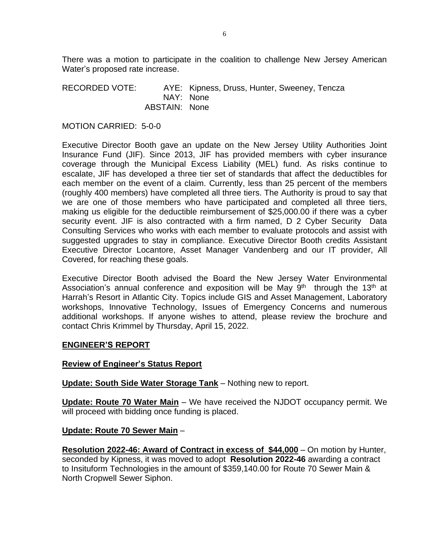There was a motion to participate in the coalition to challenge New Jersey American Water's proposed rate increase.

RECORDED VOTE: AYE: Kipness, Druss, Hunter, Sweeney, Tencza NAY: None ABSTAIN: None

MOTION CARRIED: 5-0-0

Executive Director Booth gave an update on the New Jersey Utility Authorities Joint Insurance Fund (JIF). Since 2013, JIF has provided members with cyber insurance coverage through the Municipal Excess Liability (MEL) fund. As risks continue to escalate, JIF has developed a three tier set of standards that affect the deductibles for each member on the event of a claim. Currently, less than 25 percent of the members (roughly 400 members) have completed all three tiers. The Authority is proud to say that we are one of those members who have participated and completed all three tiers, making us eligible for the deductible reimbursement of \$25,000.00 if there was a cyber security event. JIF is also contracted with a firm named, D 2 Cyber Security Data Consulting Services who works with each member to evaluate protocols and assist with suggested upgrades to stay in compliance. Executive Director Booth credits Assistant Executive Director Locantore, Asset Manager Vandenberg and our IT provider, All Covered, for reaching these goals.

Executive Director Booth advised the Board the New Jersey Water Environmental Association's annual conference and exposition will be May  $9<sup>th</sup>$  through the 13<sup>th</sup> at Harrah's Resort in Atlantic City. Topics include GIS and Asset Management, Laboratory workshops, Innovative Technology, Issues of Emergency Concerns and numerous additional workshops. If anyone wishes to attend, please review the brochure and contact Chris Krimmel by Thursday, April 15, 2022.

### **ENGINEER'S REPORT**

#### **Review of Engineer's Status Report**

**Update: South Side Water Storage Tank** – Nothing new to report.

**Update: Route 70 Water Main** – We have received the NJDOT occupancy permit. We will proceed with bidding once funding is placed.

### **Update: Route 70 Sewer Main** –

**Resolution 2022-46: Award of Contract in excess of \$44,000** – On motion by Hunter, seconded by Kipness, it was moved to adopt **Resolution 2022-46** awarding a contract to Insituform Technologies in the amount of \$359,140.00 for Route 70 Sewer Main & North Cropwell Sewer Siphon.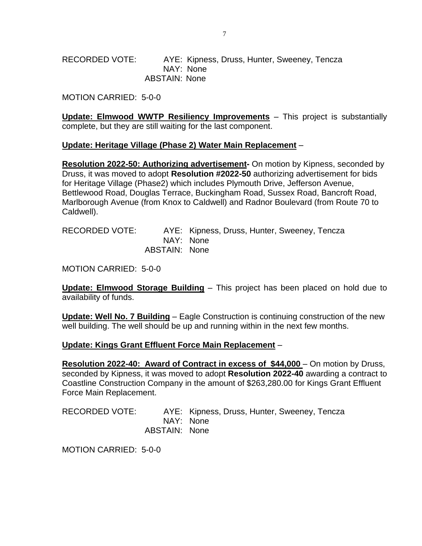RECORDED VOTE: AYE: Kipness, Druss, Hunter, Sweeney, Tencza NAY: None ABSTAIN: None

MOTION CARRIED: 5-0-0

**Update: Elmwood WWTP Resiliency Improvements** – This project is substantially complete, but they are still waiting for the last component.

#### **Update: Heritage Village (Phase 2) Water Main Replacement** –

**Resolution 2022-50: Authorizing advertisement-** On motion by Kipness, seconded by Druss, it was moved to adopt **Resolution #2022-50** authorizing advertisement for bids for Heritage Village (Phase2) which includes Plymouth Drive, Jefferson Avenue, Bettlewood Road, Douglas Terrace, Buckingham Road, Sussex Road, Bancroft Road, Marlborough Avenue (from Knox to Caldwell) and Radnor Boulevard (from Route 70 to Caldwell).

| RECORDED VOTE: |               | AYE: Kipness, Druss, Hunter, Sweeney, Tencza |
|----------------|---------------|----------------------------------------------|
|                |               | NAY: None                                    |
|                | ABSTAIN: None |                                              |

MOTION CARRIED: 5-0-0

**Update: Elmwood Storage Building** – This project has been placed on hold due to availability of funds.

**Update: Well No. 7 Building** – Eagle Construction is continuing construction of the new well building. The well should be up and running within in the next few months.

#### **Update: Kings Grant Effluent Force Main Replacement** –

**Resolution 2022-40: Award of Contract in excess of \$44,000 – On motion by Druss,** seconded by Kipness, it was moved to adopt **Resolution 2022-40** awarding a contract to Coastline Construction Company in the amount of \$263,280.00 for Kings Grant Effluent Force Main Replacement.

RECORDED VOTE: AYE: Kipness, Druss, Hunter, Sweeney, Tencza NAY: None ABSTAIN: None

MOTION CARRIED: 5-0-0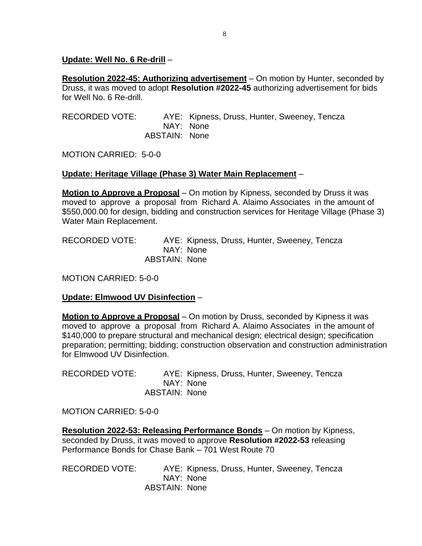### **Update: Well No. 6 Re-drill** –

**Resolution 2022-45: Authorizing advertisement** – On motion by Hunter, seconded by Druss, it was moved to adopt **Resolution #2022-45** authorizing advertisement for bids for Well No. 6 Re-drill.

RECORDED VOTE: AYE: Kipness, Druss, Hunter, Sweeney, Tencza NAY: None ABSTAIN: None

MOTION CARRIED: 5-0-0

# **Update: Heritage Village (Phase 3) Water Main Replacement** –

**Motion to Approve a Proposal** – On motion by Kipness, seconded by Druss it was moved to approve a proposal from Richard A. Alaimo Associates in the amount of \$550,000.00 for design, bidding and construction services for Heritage Village (Phase 3) Water Main Replacement.

RECORDED VOTE: AYE: Kipness, Druss, Hunter, Sweeney, Tencza NAY: None ABSTAIN: None

MOTION CARRIED: 5-0-0

# **Update: Elmwood UV Disinfection** –

**Motion to Approve a Proposal** – On motion by Druss, seconded by Kipness it was moved to approve a proposal from Richard A. Alaimo Associates in the amount of \$140,000 to prepare structural and mechanical design; electrical design; specification preparation; permitting; bidding; construction observation and construction administration for Elmwood UV Disinfection.

RECORDED VOTE: AYE: Kipness, Druss, Hunter, Sweeney, Tencza NAY: None ABSTAIN: None

MOTION CARRIED: 5-0-0

**Resolution 2022-53: Releasing Performance Bonds** – On motion by Kipness, seconded by Druss, it was moved to approve **Resolution #2022-53** releasing Performance Bonds for Chase Bank – 701 West Route 70

RECORDED VOTE: AYE: Kipness, Druss, Hunter, Sweeney, Tencza NAY: None ABSTAIN: None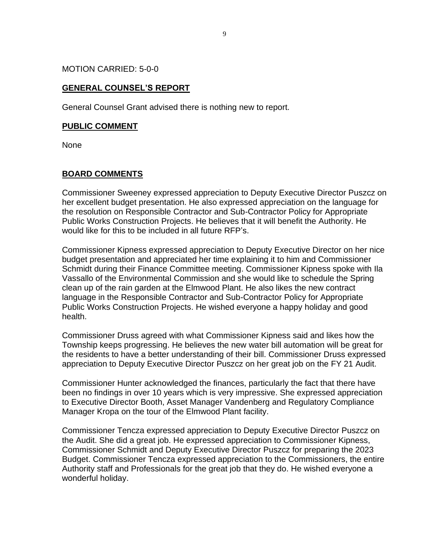MOTION CARRIED: 5-0-0

# **GENERAL COUNSEL'S REPORT**

General Counsel Grant advised there is nothing new to report.

#### **PUBLIC COMMENT**

None

### **BOARD COMMENTS**

Commissioner Sweeney expressed appreciation to Deputy Executive Director Puszcz on her excellent budget presentation. He also expressed appreciation on the language for the resolution on Responsible Contractor and Sub-Contractor Policy for Appropriate Public Works Construction Projects. He believes that it will benefit the Authority. He would like for this to be included in all future RFP's.

Commissioner Kipness expressed appreciation to Deputy Executive Director on her nice budget presentation and appreciated her time explaining it to him and Commissioner Schmidt during their Finance Committee meeting. Commissioner Kipness spoke with Ila Vassallo of the Environmental Commission and she would like to schedule the Spring clean up of the rain garden at the Elmwood Plant. He also likes the new contract language in the Responsible Contractor and Sub-Contractor Policy for Appropriate Public Works Construction Projects. He wished everyone a happy holiday and good health.

Commissioner Druss agreed with what Commissioner Kipness said and likes how the Township keeps progressing. He believes the new water bill automation will be great for the residents to have a better understanding of their bill. Commissioner Druss expressed appreciation to Deputy Executive Director Puszcz on her great job on the FY 21 Audit.

Commissioner Hunter acknowledged the finances, particularly the fact that there have been no findings in over 10 years which is very impressive. She expressed appreciation to Executive Director Booth, Asset Manager Vandenberg and Regulatory Compliance Manager Kropa on the tour of the Elmwood Plant facility.

Commissioner Tencza expressed appreciation to Deputy Executive Director Puszcz on the Audit. She did a great job. He expressed appreciation to Commissioner Kipness, Commissioner Schmidt and Deputy Executive Director Puszcz for preparing the 2023 Budget. Commissioner Tencza expressed appreciation to the Commissioners, the entire Authority staff and Professionals for the great job that they do. He wished everyone a wonderful holiday.